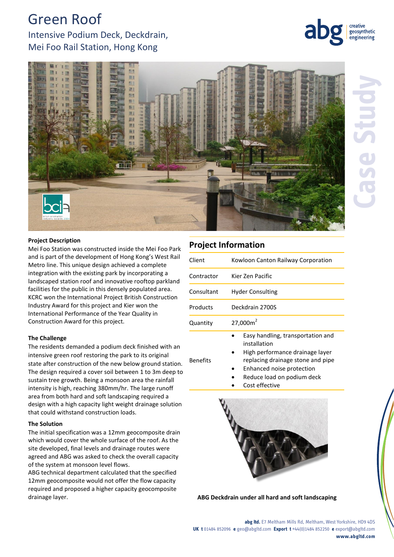# Green Roof

Intensive Podium Deck, Deckdrain, Mei Foo Rail Station, Hong Kong



creative geosynthetic engineering

#### **Project Description**

Mei Foo Station was constructed inside the Mei Foo Park and is part of the development of Hong Kong's West Rail Metro line. This unique design achieved a complete integration with the existing park by incorporating a landscaped station roof and innovative rooftop parkland facilities for the public in this densely populated area. KCRC won the International Project British Construction Industry Award for this project and Kier won the International Performance of the Year Quality in Construction Award for this project.

#### **The Challenge**

The residents demanded a podium deck finished with an intensive green roof restoring the park to its original state after construction of the new below ground station. The design required a cover soil between 1 to 3m deep to sustain tree growth. Being a monsoon area the rainfall intensity is high, reaching 380mm/hr. The large runoff area from both hard and soft landscaping required a design with a high capacity light weight drainage solution that could withstand construction loads.

### **The Solution**

The initial specification was a 12mm geocomposite drain which would cover the whole surface of the roof. As the site developed, final levels and drainage routes were agreed and ABG was asked to check the overall capacity of the system at monsoon level flows.

ABG technical department calculated that the specified 12mm geocomposite would not offer the flow capacity required and proposed a higher capacity geocomposite drainage layer. **ABG Deckdrain under all hard and soft landscaping**

## **Project Information**

| Client          | Kowloon Canton Railway Corporation                                                                                                                                                   |
|-----------------|--------------------------------------------------------------------------------------------------------------------------------------------------------------------------------------|
| Contractor      | Kier Zen Pacific                                                                                                                                                                     |
| Consultant      | <b>Hyder Consulting</b>                                                                                                                                                              |
| Products        | Deckdrain 2700S                                                                                                                                                                      |
| Quantity        | 27,000m <sup>2</sup>                                                                                                                                                                 |
| <b>Benefits</b> | Easy handling, transportation and<br>installation<br>High performance drainage layer<br>replacing drainage stone and pipe<br>Enhanced noise protection<br>Reduce load on podium deck |

Cost effective



**abg ltd.** E7 Meltham Mills Rd, Meltham, West Yorkshire, HD9 4DS **UK t** 01484 852096 **e** geo@abgltd.com **Export t** +44(0)1484 852250 **e** export@abgltd.com **www.abgltd.com**